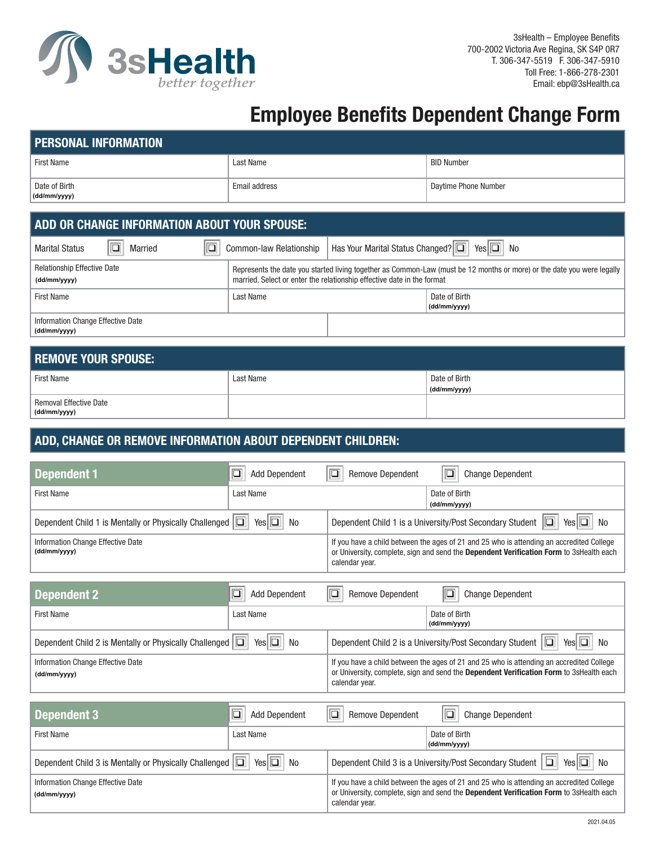

## **Employee Benefits Dependent Change Form**

| <b>PERSONAL INFORMATION</b>   |               |                      |
|-------------------------------|---------------|----------------------|
| <b>First Name</b>             | Last Name     | <b>BID Number</b>    |
| Date of Birth<br>(dd/mm/yyyy) | Email address | Daytime Phone Number |

## **ADD OR CHANGE INFORMATION ABOUT YOUR SPOUSE:**

| Married<br><b>Marital Status</b>                   | Has Your Marital Status Changed? 0 Yes 0 No<br>Common-law Relationship                                                                                                                           |                               |
|----------------------------------------------------|--------------------------------------------------------------------------------------------------------------------------------------------------------------------------------------------------|-------------------------------|
| <b>Relationship Effective Date</b><br>(dd/mm/yyyy) | Represents the date you started living together as Common-Law (must be 12 months or more) or the date you were legally<br>married. Select or enter the relationship effective date in the format |                               |
| <b>First Name</b>                                  | Last Name                                                                                                                                                                                        | Date of Birth<br>(dd/mm/yyyy) |
| Information Change Effective Date<br>(dd/mm/yyyy)  |                                                                                                                                                                                                  |                               |

| <b>REMOVE YOUR SPOUSE:</b>    |           |               |
|-------------------------------|-----------|---------------|
| <b>First Name</b>             | Last Name | Date of Birth |
|                               |           | (dd/mm/yyyy)  |
| <b>Removal Effective Date</b> |           |               |
| (dd/mm/yyyy)                  |           |               |

## **ADD, CHANGE OR REMOVE INFORMATION ABOUT DEPENDENT CHILDREN:**

| <b>Dependent 1</b>                                            | ⊡<br><b>Add Dependent</b>           | $\Box$<br>$\overline{\square}$<br><b>Remove Dependent</b><br><b>Change Dependent</b>                                                                                                                  |
|---------------------------------------------------------------|-------------------------------------|-------------------------------------------------------------------------------------------------------------------------------------------------------------------------------------------------------|
| <b>First Name</b>                                             | Last Name                           | Date of Birth<br>(dd/mm/yyyy)                                                                                                                                                                         |
| Dependent Child 1 is Mentally or Physically Challenged $\Box$ | $\Box$<br><b>No</b><br>Yesl         | Dependent Child 1 is a University/Post Secondary Student<br>10<br>No<br>Yesl                                                                                                                          |
| Information Change Effective Date<br>(dd/mm/yyyy)             |                                     | If you have a child between the ages of 21 and 25 who is attending an accredited College<br>or University, complete, sign and send the Dependent Verification Form to 3sHealth each<br>calendar year. |
|                                                               |                                     |                                                                                                                                                                                                       |
| <b>Dependent 2</b>                                            | <b>Add Dependent</b><br>$\Box$      | ⊡<br><b>Remove Dependent</b><br><b>Change Dependent</b>                                                                                                                                               |
| <b>First Name</b>                                             | Last Name                           | Date of Birth<br>(dd/mm/yyyy)                                                                                                                                                                         |
| Dependent Child 2 is Mentally or Physically Challenged $\Box$ | Yes $\vert \Box \vert$<br><b>No</b> | Dependent Child 2 is a University/Post Secondary Student  <br>$\Box$<br>No<br>Yesl                                                                                                                    |
| Information Change Effective Date<br>(dd/mm/yyyy)             |                                     | If you have a child between the ages of 21 and 25 who is attending an accredited College<br>or University, complete, sign and send the Dependent Verification Form to 3sHealth each<br>calendar year. |
|                                                               |                                     |                                                                                                                                                                                                       |
| <b>Dependent 3</b>                                            | ⊡<br><b>Add Dependent</b>           | ⊡<br>⊡<br><b>Remove Dependent</b><br><b>Change Dependent</b>                                                                                                                                          |
| <b>First Name</b>                                             | Last Name                           | Date of Birth<br>(dd/mm/yyyy)                                                                                                                                                                         |
|                                                               |                                     |                                                                                                                                                                                                       |

| <b>Dependent Child 3 is Mentally or Physically Challenged <math>\boxed{ \Box \ }</math> Yes <math>\boxed{ \Box \ }</math> No</b> | Dependent Child 3 is a University/Post Secondary Student $ \Box $ Yes $ \Box $ No                                                                                                                     |
|----------------------------------------------------------------------------------------------------------------------------------|-------------------------------------------------------------------------------------------------------------------------------------------------------------------------------------------------------|
| Information Change Effective Date<br>(dd/mm/yyyy)                                                                                | If you have a child between the ages of 21 and 25 who is attending an accredited College<br>or University, complete, sign and send the Dependent Verification Form to 3sHealth each<br>calendar year. |